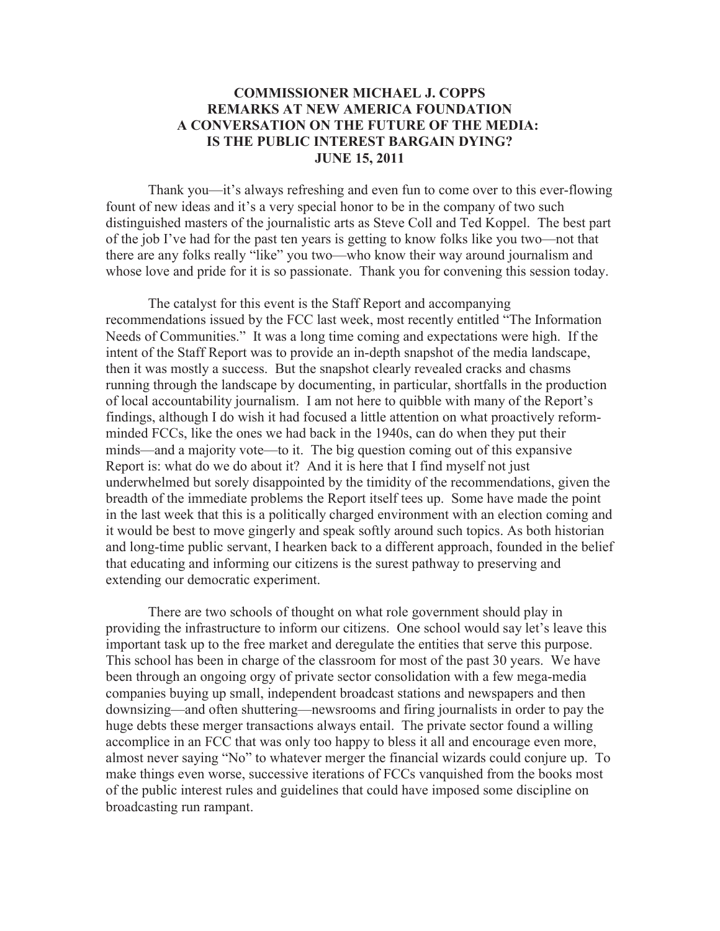## **COMMISSIONER MICHAEL J. COPPS REMARKS AT NEW AMERICA FOUNDATION A CONVERSATION ON THE FUTURE OF THE MEDIA: IS THE PUBLIC INTEREST BARGAIN DYING? JUNE 15, 2011**

Thank you—it's always refreshing and even fun to come over to this ever-flowing fount of new ideas and it's a very special honor to be in the company of two such distinguished masters of the journalistic arts as Steve Coll and Ted Koppel. The best part of the job I've had for the past ten years is getting to know folks like you two—not that there are any folks really "like" you two—who know their way around journalism and whose love and pride for it is so passionate. Thank you for convening this session today.

The catalyst for this event is the Staff Report and accompanying recommendations issued by the FCC last week, most recently entitled "The Information Needs of Communities." It was a long time coming and expectations were high. If the intent of the Staff Report was to provide an in-depth snapshot of the media landscape, then it was mostly a success. But the snapshot clearly revealed cracks and chasms running through the landscape by documenting, in particular, shortfalls in the production of local accountability journalism. I am not here to quibble with many of the Report's findings, although I do wish it had focused a little attention on what proactively reformminded FCCs, like the ones we had back in the 1940s, can do when they put their minds—and a majority vote—to it. The big question coming out of this expansive Report is: what do we do about it? And it is here that I find myself not just underwhelmed but sorely disappointed by the timidity of the recommendations, given the breadth of the immediate problems the Report itself tees up. Some have made the point in the last week that this is a politically charged environment with an election coming and it would be best to move gingerly and speak softly around such topics. As both historian and long-time public servant, I hearken back to a different approach, founded in the belief that educating and informing our citizens is the surest pathway to preserving and extending our democratic experiment.

There are two schools of thought on what role government should play in providing the infrastructure to inform our citizens. One school would say let's leave this important task up to the free market and deregulate the entities that serve this purpose. This school has been in charge of the classroom for most of the past 30 years. We have been through an ongoing orgy of private sector consolidation with a few mega-media companies buying up small, independent broadcast stations and newspapers and then downsizing—and often shuttering—newsrooms and firing journalists in order to pay the huge debts these merger transactions always entail. The private sector found a willing accomplice in an FCC that was only too happy to bless it all and encourage even more, almost never saying "No" to whatever merger the financial wizards could conjure up. To make things even worse, successive iterations of FCCs vanquished from the books most of the public interest rules and guidelines that could have imposed some discipline on broadcasting run rampant.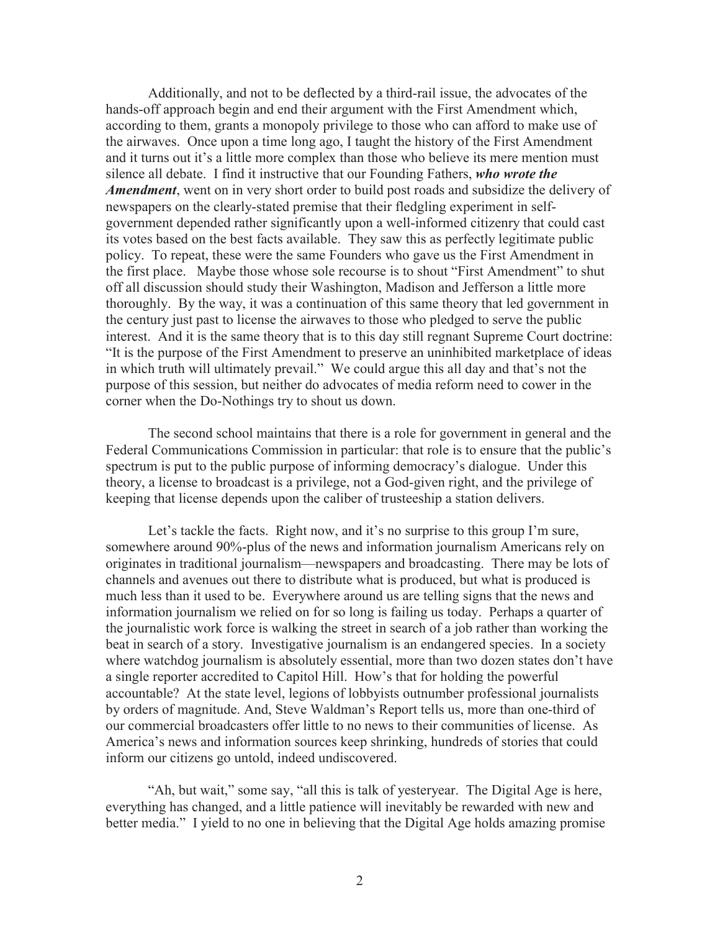Additionally, and not to be deflected by a third-rail issue, the advocates of the hands-off approach begin and end their argument with the First Amendment which, according to them, grants a monopoly privilege to those who can afford to make use of the airwaves. Once upon a time long ago, I taught the history of the First Amendment and it turns out it's a little more complex than those who believe its mere mention must silence all debate. I find it instructive that our Founding Fathers, *who wrote the Amendment*, went on in very short order to build post roads and subsidize the delivery of newspapers on the clearly-stated premise that their fledgling experiment in selfgovernment depended rather significantly upon a well-informed citizenry that could cast its votes based on the best facts available. They saw this as perfectly legitimate public policy. To repeat, these were the same Founders who gave us the First Amendment in the first place. Maybe those whose sole recourse is to shout "First Amendment" to shut off all discussion should study their Washington, Madison and Jefferson a little more thoroughly. By the way, it was a continuation of this same theory that led government in the century just past to license the airwaves to those who pledged to serve the public interest. And it is the same theory that is to this day still regnant Supreme Court doctrine: "It is the purpose of the First Amendment to preserve an uninhibited marketplace of ideas in which truth will ultimately prevail." We could argue this all day and that's not the purpose of this session, but neither do advocates of media reform need to cower in the corner when the Do-Nothings try to shout us down.

The second school maintains that there is a role for government in general and the Federal Communications Commission in particular: that role is to ensure that the public's spectrum is put to the public purpose of informing democracy's dialogue. Under this theory, a license to broadcast is a privilege, not a God-given right, and the privilege of keeping that license depends upon the caliber of trusteeship a station delivers.

Let's tackle the facts. Right now, and it's no surprise to this group I'm sure, somewhere around 90%-plus of the news and information journalism Americans rely on originates in traditional journalism—newspapers and broadcasting. There may be lots of channels and avenues out there to distribute what is produced, but what is produced is much less than it used to be. Everywhere around us are telling signs that the news and information journalism we relied on for so long is failing us today. Perhaps a quarter of the journalistic work force is walking the street in search of a job rather than working the beat in search of a story. Investigative journalism is an endangered species. In a society where watchdog journalism is absolutely essential, more than two dozen states don't have a single reporter accredited to Capitol Hill. How's that for holding the powerful accountable? At the state level, legions of lobbyists outnumber professional journalists by orders of magnitude. And, Steve Waldman's Report tells us, more than one-third of our commercial broadcasters offer little to no news to their communities of license. As America's news and information sources keep shrinking, hundreds of stories that could inform our citizens go untold, indeed undiscovered.

"Ah, but wait," some say, "all this is talk of yesteryear. The Digital Age is here, everything has changed, and a little patience will inevitably be rewarded with new and better media." I yield to no one in believing that the Digital Age holds amazing promise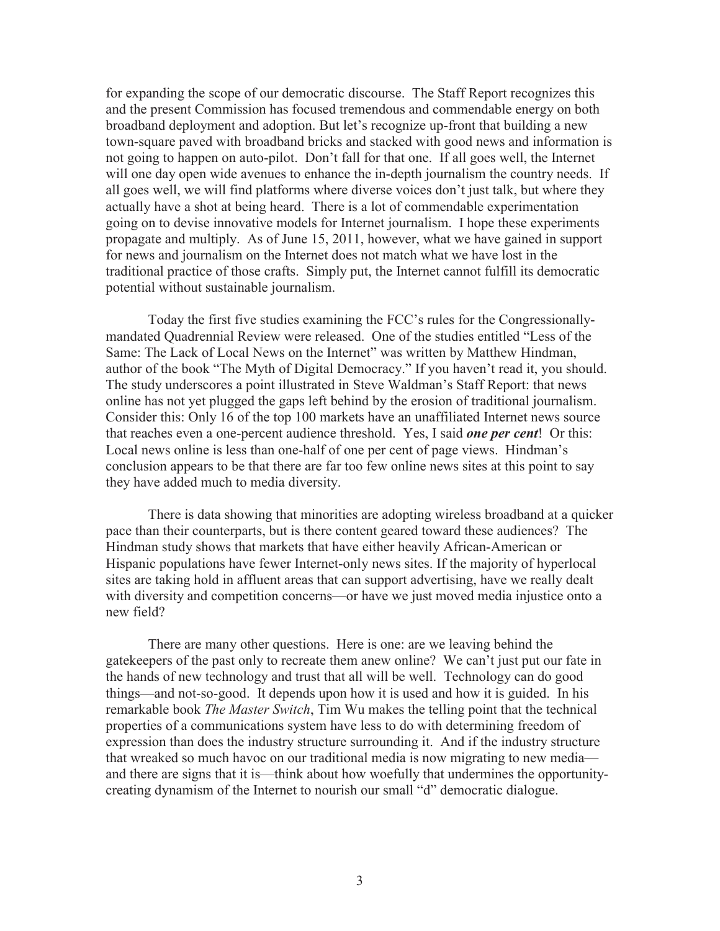for expanding the scope of our democratic discourse. The Staff Report recognizes this and the present Commission has focused tremendous and commendable energy on both broadband deployment and adoption. But let's recognize up-front that building a new town-square paved with broadband bricks and stacked with good news and information is not going to happen on auto-pilot. Don't fall for that one. If all goes well, the Internet will one day open wide avenues to enhance the in-depth journalism the country needs. If all goes well, we will find platforms where diverse voices don't just talk, but where they actually have a shot at being heard. There is a lot of commendable experimentation going on to devise innovative models for Internet journalism. I hope these experiments propagate and multiply. As of June 15, 2011, however, what we have gained in support for news and journalism on the Internet does not match what we have lost in the traditional practice of those crafts. Simply put, the Internet cannot fulfill its democratic potential without sustainable journalism.

Today the first five studies examining the FCC's rules for the Congressionallymandated Quadrennial Review were released. One of the studies entitled "Less of the Same: The Lack of Local News on the Internet" was written by Matthew Hindman, author of the book "The Myth of Digital Democracy." If you haven't read it, you should. The study underscores a point illustrated in Steve Waldman's Staff Report: that news online has not yet plugged the gaps left behind by the erosion of traditional journalism. Consider this: Only 16 of the top 100 markets have an unaffiliated Internet news source that reaches even a one-percent audience threshold. Yes, I said *one per cent*! Or this: Local news online is less than one-half of one per cent of page views. Hindman's conclusion appears to be that there are far too few online news sites at this point to say they have added much to media diversity.

There is data showing that minorities are adopting wireless broadband at a quicker pace than their counterparts, but is there content geared toward these audiences? The Hindman study shows that markets that have either heavily African-American or Hispanic populations have fewer Internet-only news sites. If the majority of hyperlocal sites are taking hold in affluent areas that can support advertising, have we really dealt with diversity and competition concerns—or have we just moved media injustice onto a new field?

There are many other questions. Here is one: are we leaving behind the gatekeepers of the past only to recreate them anew online? We can't just put our fate in the hands of new technology and trust that all will be well. Technology can do good things—and not-so-good. It depends upon how it is used and how it is guided. In his remarkable book *The Master Switch*, Tim Wu makes the telling point that the technical properties of a communications system have less to do with determining freedom of expression than does the industry structure surrounding it. And if the industry structure that wreaked so much havoc on our traditional media is now migrating to new media and there are signs that it is—think about how woefully that undermines the opportunitycreating dynamism of the Internet to nourish our small "d" democratic dialogue.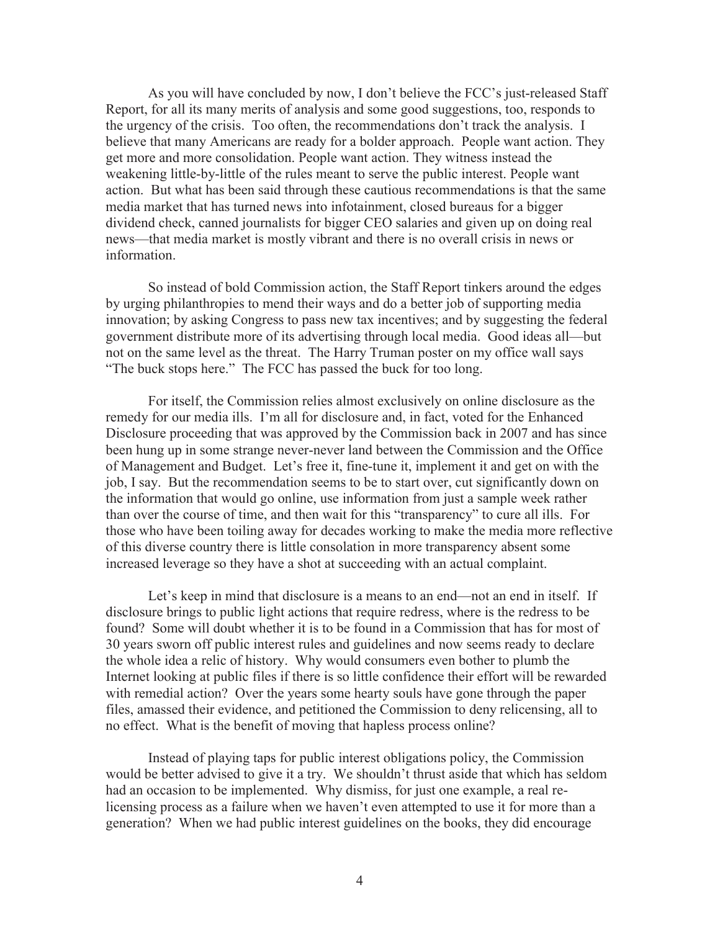As you will have concluded by now, I don't believe the FCC's just-released Staff Report, for all its many merits of analysis and some good suggestions, too, responds to the urgency of the crisis. Too often, the recommendations don't track the analysis. I believe that many Americans are ready for a bolder approach. People want action. They get more and more consolidation. People want action. They witness instead the weakening little-by-little of the rules meant to serve the public interest. People want action. But what has been said through these cautious recommendations is that the same media market that has turned news into infotainment, closed bureaus for a bigger dividend check, canned journalists for bigger CEO salaries and given up on doing real news—that media market is mostly vibrant and there is no overall crisis in news or information.

So instead of bold Commission action, the Staff Report tinkers around the edges by urging philanthropies to mend their ways and do a better job of supporting media innovation; by asking Congress to pass new tax incentives; and by suggesting the federal government distribute more of its advertising through local media. Good ideas all—but not on the same level as the threat. The Harry Truman poster on my office wall says "The buck stops here." The FCC has passed the buck for too long.

For itself, the Commission relies almost exclusively on online disclosure as the remedy for our media ills. I'm all for disclosure and, in fact, voted for the Enhanced Disclosure proceeding that was approved by the Commission back in 2007 and has since been hung up in some strange never-never land between the Commission and the Office of Management and Budget. Let's free it, fine-tune it, implement it and get on with the job, I say. But the recommendation seems to be to start over, cut significantly down on the information that would go online, use information from just a sample week rather than over the course of time, and then wait for this "transparency" to cure all ills. For those who have been toiling away for decades working to make the media more reflective of this diverse country there is little consolation in more transparency absent some increased leverage so they have a shot at succeeding with an actual complaint.

Let's keep in mind that disclosure is a means to an end—not an end in itself. If disclosure brings to public light actions that require redress, where is the redress to be found? Some will doubt whether it is to be found in a Commission that has for most of 30 years sworn off public interest rules and guidelines and now seems ready to declare the whole idea a relic of history. Why would consumers even bother to plumb the Internet looking at public files if there is so little confidence their effort will be rewarded with remedial action? Over the years some hearty souls have gone through the paper files, amassed their evidence, and petitioned the Commission to deny relicensing, all to no effect. What is the benefit of moving that hapless process online?

Instead of playing taps for public interest obligations policy, the Commission would be better advised to give it a try. We shouldn't thrust aside that which has seldom had an occasion to be implemented. Why dismiss, for just one example, a real relicensing process as a failure when we haven't even attempted to use it for more than a generation? When we had public interest guidelines on the books, they did encourage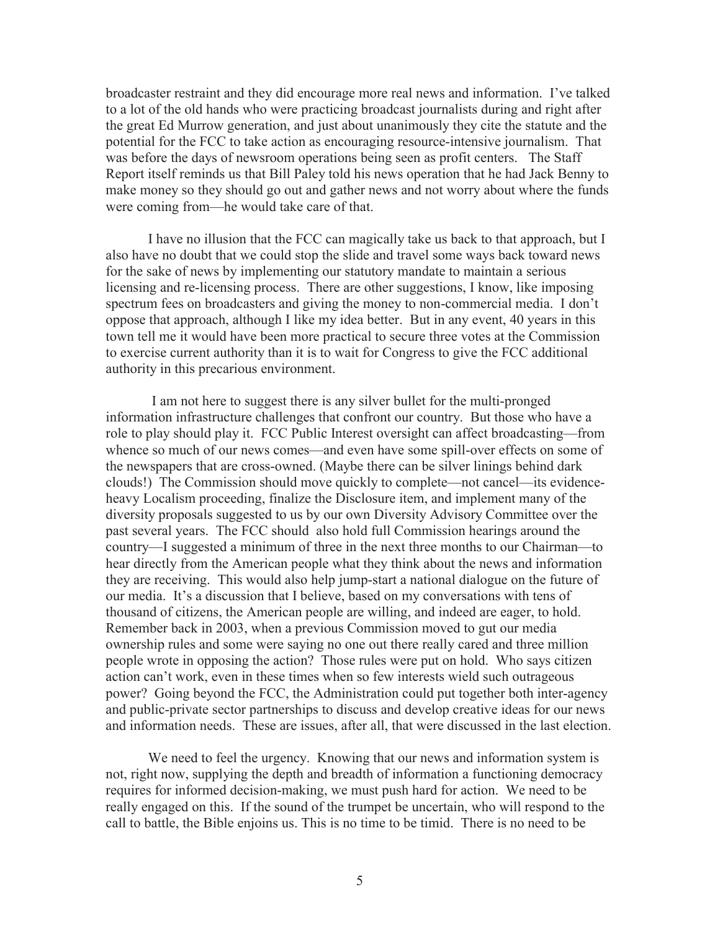broadcaster restraint and they did encourage more real news and information. I've talked to a lot of the old hands who were practicing broadcast journalists during and right after the great Ed Murrow generation, and just about unanimously they cite the statute and the potential for the FCC to take action as encouraging resource-intensive journalism. That was before the days of newsroom operations being seen as profit centers. The Staff Report itself reminds us that Bill Paley told his news operation that he had Jack Benny to make money so they should go out and gather news and not worry about where the funds were coming from—he would take care of that.

I have no illusion that the FCC can magically take us back to that approach, but I also have no doubt that we could stop the slide and travel some ways back toward news for the sake of news by implementing our statutory mandate to maintain a serious licensing and re-licensing process. There are other suggestions, I know, like imposing spectrum fees on broadcasters and giving the money to non-commercial media. I don't oppose that approach, although I like my idea better. But in any event, 40 years in this town tell me it would have been more practical to secure three votes at the Commission to exercise current authority than it is to wait for Congress to give the FCC additional authority in this precarious environment.

I am not here to suggest there is any silver bullet for the multi-pronged information infrastructure challenges that confront our country. But those who have a role to play should play it. FCC Public Interest oversight can affect broadcasting—from whence so much of our news comes—and even have some spill-over effects on some of the newspapers that are cross-owned. (Maybe there can be silver linings behind dark clouds!) The Commission should move quickly to complete—not cancel—its evidenceheavy Localism proceeding, finalize the Disclosure item, and implement many of the diversity proposals suggested to us by our own Diversity Advisory Committee over the past several years. The FCC should also hold full Commission hearings around the country—I suggested a minimum of three in the next three months to our Chairman—to hear directly from the American people what they think about the news and information they are receiving. This would also help jump-start a national dialogue on the future of our media. It's a discussion that I believe, based on my conversations with tens of thousand of citizens, the American people are willing, and indeed are eager, to hold. Remember back in 2003, when a previous Commission moved to gut our media ownership rules and some were saying no one out there really cared and three million people wrote in opposing the action? Those rules were put on hold. Who says citizen action can't work, even in these times when so few interests wield such outrageous power? Going beyond the FCC, the Administration could put together both inter-agency and public-private sector partnerships to discuss and develop creative ideas for our news and information needs. These are issues, after all, that were discussed in the last election.

We need to feel the urgency. Knowing that our news and information system is not, right now, supplying the depth and breadth of information a functioning democracy requires for informed decision-making, we must push hard for action. We need to be really engaged on this. If the sound of the trumpet be uncertain, who will respond to the call to battle, the Bible enjoins us. This is no time to be timid. There is no need to be